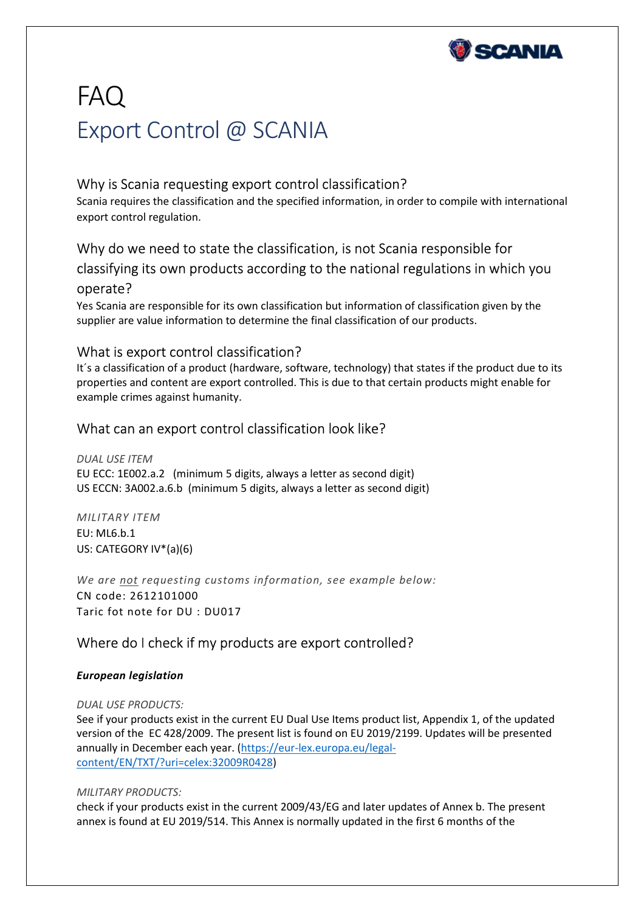

# FAQ Export Control @ SCANIA

# Why is Scania requesting export control classification?

Scania requires the classification and the specified information, in order to compile with international export control regulation.

# Why do we need to state the classification, is not Scania responsible for classifying its own products according to the national regulations in which you operate?

Yes Scania are responsible for its own classification but information of classification given by the supplier are value information to determine the final classification of our products.

## What is export control classification?

It´s a classification of a product (hardware, software, technology) that states if the product due to its properties and content are export controlled. This is due to that certain products might enable for example crimes against humanity.

## What can an export control classification look like?

*DUAL USE ITEM* EU ECC: 1E002.a.2 (minimum 5 digits, always a letter as second digit) US ECCN: 3A002.a.6.b (minimum 5 digits, always a letter as second digit)

*MILITARY ITEM* EU: ML6.b.1 US: CATEGORY IV\*(a)(6)

*We are not requesting customs information, see example below:* CN code: 2612101000 Taric fot note for DU : DU017

# Where do I check if my products are export controlled?

## *European legislation*

*DUAL USE PRODUCTS:*

See if your products exist in the current EU Dual Use Items product list, Appendix 1, of the updated version of the EC 428/2009. The present list is found on EU 2019/2199. Updates will be presented annually in December each year. (https://eur-lex.europa.eu/legalcontent/EN/TXT/?uri=celex:32009R0428)

## *MILITARY PRODUCTS:*

check if your products exist in the current 2009/43/EG and later updates of Annex b. The present annex is found at EU 2019/514. This Annex is normally updated in the first 6 months of the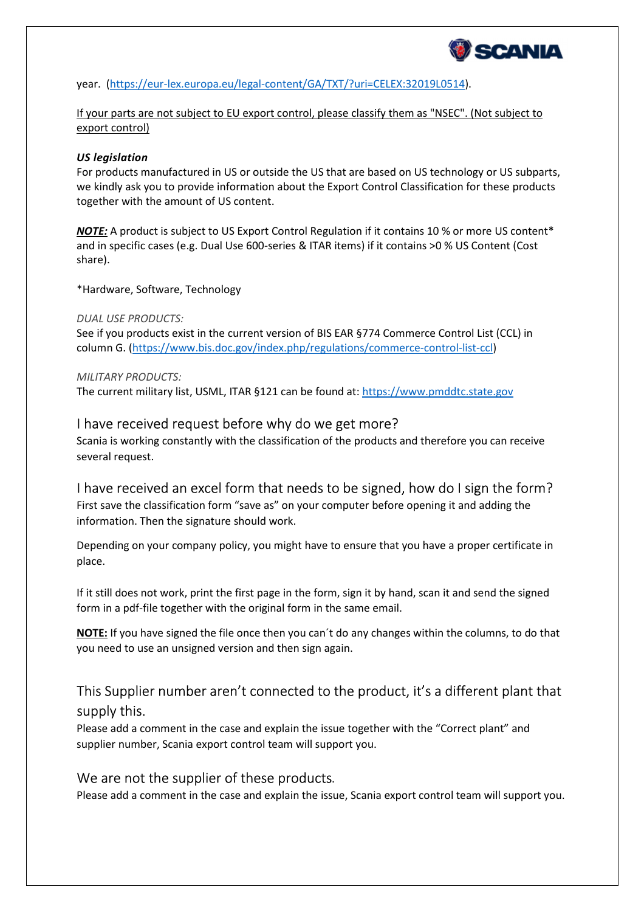

year. (https://eur-lex.europa.eu/legal-content/GA/TXT/?uri=CELEX:32019L0514).

If your parts are not subject to EU export control, please classify them as "NSEC". (Not subject to export control)

#### *US legislation*

For products manufactured in US or outside the US that are based on US technology or US subparts, we kindly ask you to provide information about the Export Control Classification for these products together with the amount of US content.

**NOTE:** A product is subject to US Export Control Regulation if it contains 10 % or more US content<sup>\*</sup> and in specific cases (e.g. Dual Use 600-series & ITAR items) if it contains >0 % US Content (Cost share).

\*Hardware, Software, Technology

#### *DUAL USE PRODUCTS:*

See if you products exist in the current version of BIS EAR §774 Commerce Control List (CCL) in column G. (https://www.bis.doc.gov/index.php/regulations/commerce-control-list-ccl)

#### *MILITARY PRODUCTS:*

The current military list, USML, ITAR §121 can be found at: https://www.pmddtc.state.gov

## I have received request before why do we get more?

Scania is working constantly with the classification of the products and therefore you can receive several request.

## I have received an excel form that needs to be signed, how do I sign the form?

First save the classification form "save as" on your computer before opening it and adding the information. Then the signature should work.

Depending on your company policy, you might have to ensure that you have a proper certificate in place.

If it still does not work, print the first page in the form, sign it by hand, scan it and send the signed form in a pdf-file together with the original form in the same email.

**NOTE:** If you have signed the file once then you can´t do any changes within the columns, to do that you need to use an unsigned version and then sign again.

# This Supplier number aren't connected to the product, it's a different plant that supply this.

Please add a comment in the case and explain the issue together with the "Correct plant" and supplier number, Scania export control team will support you.

## We are not the supplier of these products.

Please add a comment in the case and explain the issue, Scania export control team will support you.